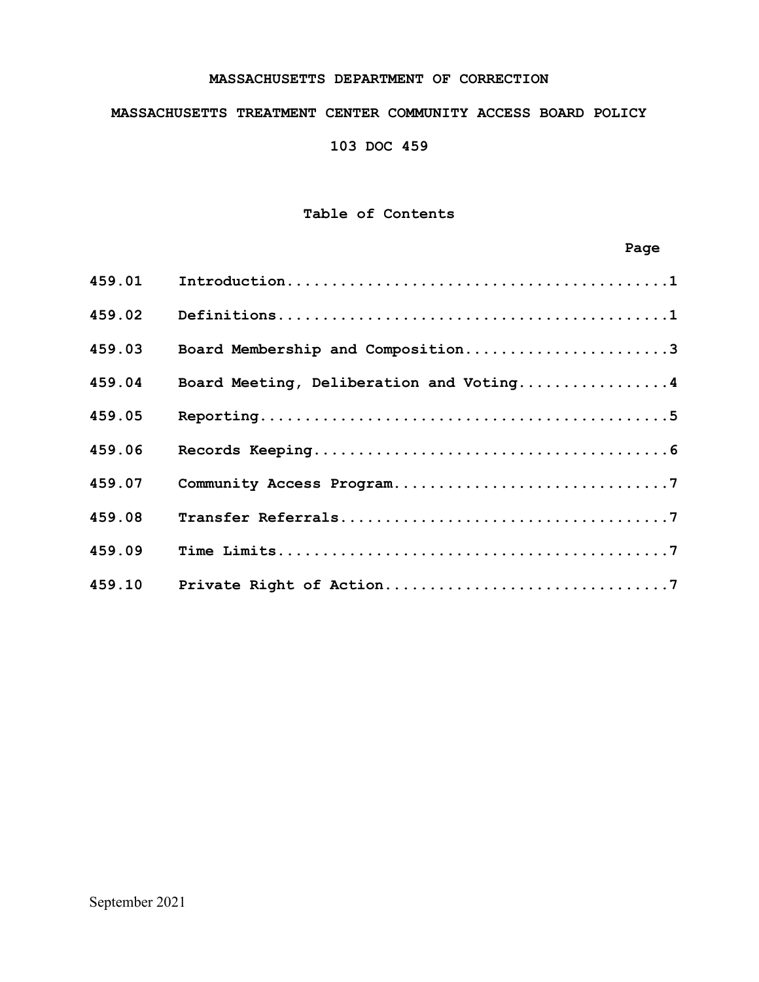### **MASSACHUSETTS DEPARTMENT OF CORRECTION**

### **MASSACHUSETTS TREATMENT CENTER COMMUNITY ACCESS BOARD POLICY**

**103 DOC 459**

# **Table of Contents**

# **Page**

| 459.01 |                                         |
|--------|-----------------------------------------|
| 459.02 |                                         |
| 459.03 | Board Membership and Composition3       |
| 459.04 | Board Meeting, Deliberation and Voting4 |
| 459.05 |                                         |
| 459.06 |                                         |
| 459.07 |                                         |
| 459.08 |                                         |
| 459.09 |                                         |
| 459.10 |                                         |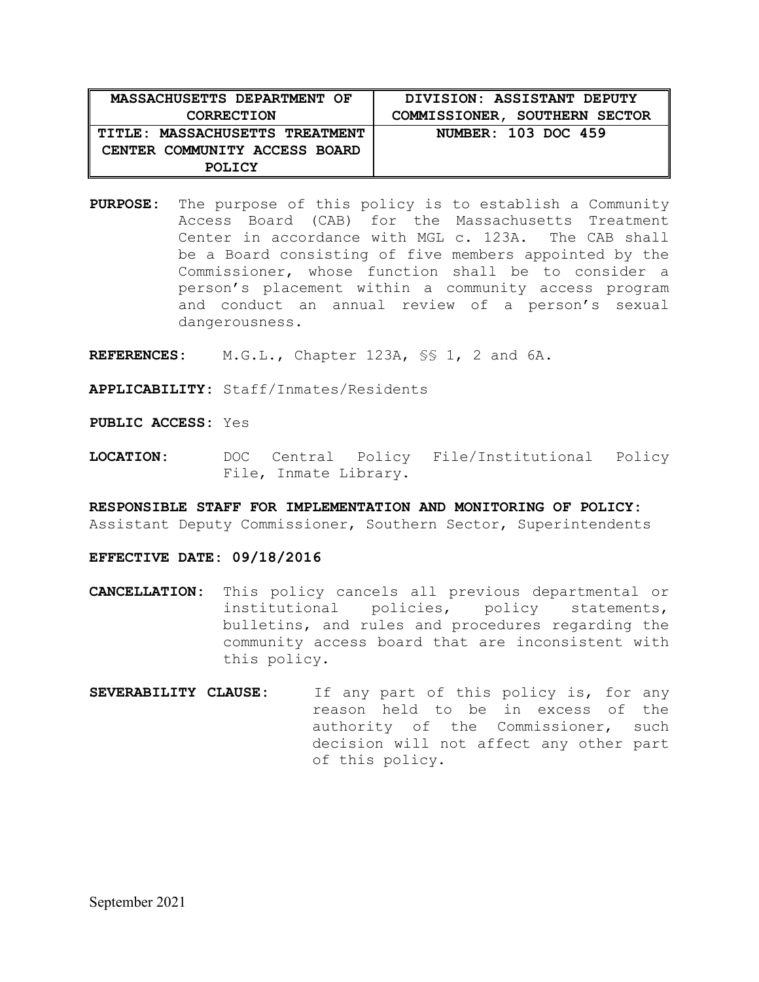| MASSACHUSETTS DEPARTMENT OF    | DIVISION: ASSISTANT DEPUTY    |
|--------------------------------|-------------------------------|
| <b>CORRECTION</b>              | COMMISSIONER, SOUTHERN SECTOR |
| TITLE: MASSACHUSETTS TREATMENT | NUMBER: 103 DOC 459           |
| CENTER COMMUNITY ACCESS BOARD  |                               |
| <b>POLICY</b>                  |                               |

**PURPOSE:** The purpose of this policy is to establish a Community Access Board (CAB) for the Massachusetts Treatment<br>Center in accordance with MGL c. 123A. The CAB shall Center in accordance with MGL c. 123A. be a Board consisting of five members appointed by the Commissioner, whose function shall be to consider a person's placement within a community access program and conduct an annual review of a person's sexual dangerousness.

**REFERENCES:** M.G.L., Chapter 123A, §§ 1, 2 and 6A.

**APPLICABILITY:** Staff/Inmates/Residents

**PUBLIC ACCESS:** Yes

**LOCATION:** DOC Central Policy File/Institutional Policy File, Inmate Library.

**RESPONSIBLE STAFF FOR IMPLEMENTATION AND MONITORING OF POLICY:** Assistant Deputy Commissioner, Southern Sector, Superintendents

**EFFECTIVE DATE: 09/18/2016**

- **CANCELLATION:** This policy cancels all previous departmental or policy statements, bulletins, and rules and procedures regarding the community access board that are inconsistent with this policy.
- **SEVERABILITY CLAUSE:** If any part of this policy is, for any reason held to be in excess of the authority of the Commissioner, such decision will not affect any other part of this policy.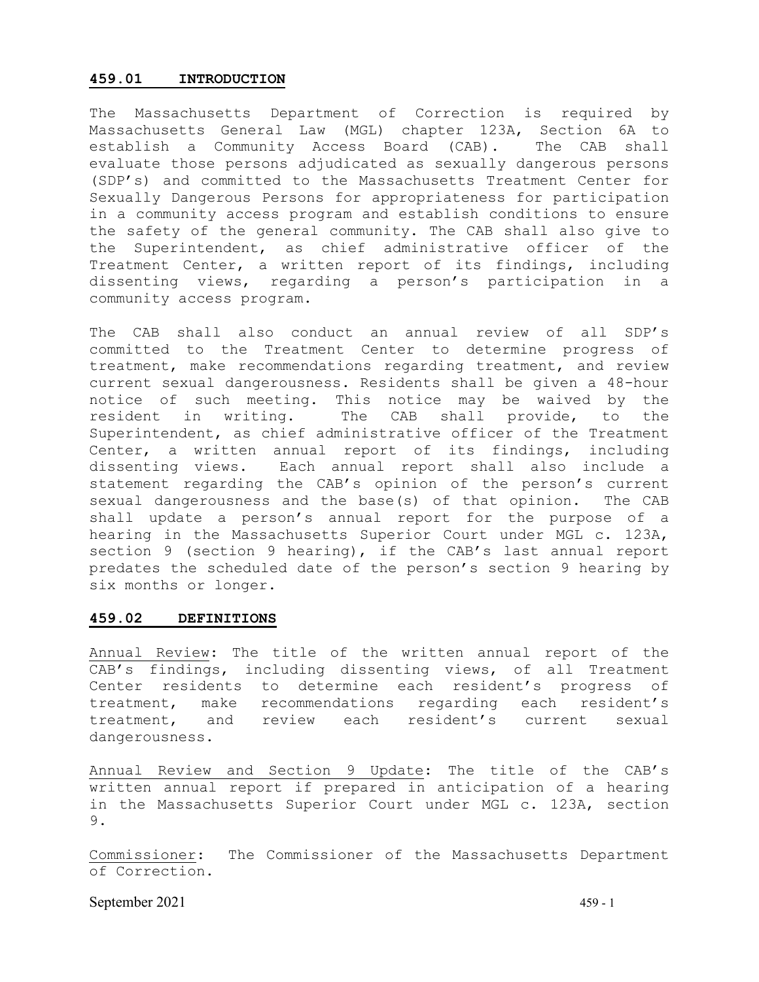### **459.01 INTRODUCTION**

The Massachusetts Department of Correction is required by Massachusetts General Law (MGL) chapter 123A, Section 6A to establish a Community Access Board (CAB). The CAB shall evaluate those persons adjudicated as sexually dangerous persons (SDP's) and committed to the Massachusetts Treatment Center for Sexually Dangerous Persons for appropriateness for participation in a community access program and establish conditions to ensure the safety of the general community. The CAB shall also give to the Superintendent, as chief administrative officer of the Treatment Center, a written report of its findings, including dissenting views, regarding a person's participation in a community access program.

The CAB shall also conduct an annual review of all SDP's committed to the Treatment Center to determine progress of treatment, make recommendations regarding treatment, and review current sexual dangerousness. Residents shall be given a 48-hour notice of such meeting. This notice may be waived by the resident in writing. The CAB shall provide, to the Superintendent, as chief administrative officer of the Treatment Center, a written annual report of its findings, including dissenting views. Each annual report shall also include a statement regarding the CAB's opinion of the person's current sexual dangerousness and the base(s) of that opinion. The CAB shall update a person's annual report for the purpose of a hearing in the Massachusetts Superior Court under MGL c. 123A, section 9 (section 9 hearing), if the CAB's last annual report predates the scheduled date of the person's section 9 hearing by six months or longer.

#### **459.02 DEFINITIONS**

Annual Review: The title of the written annual report of the CAB's findings, including dissenting views, of all Treatment Center residents to determine each resident's progress of treatment, make recommendations regarding each resident's treatment, and review each resident's current sexual dangerousness.

Annual Review and Section 9 Update: The title of the CAB's written annual report if prepared in anticipation of a hearing in the Massachusetts Superior Court under MGL c. 123A, section 9.

Commissioner: The Commissioner of the Massachusetts Department of Correction.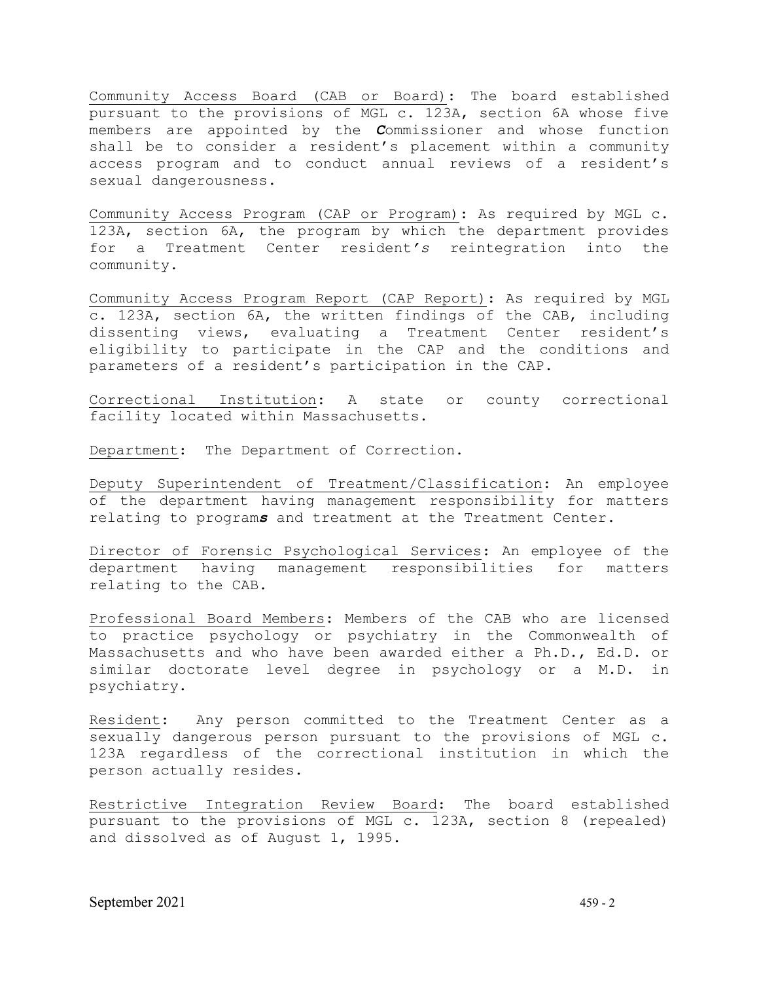Community Access Board (CAB or Board): The board established pursuant to the provisions of MGL c. 123A, section 6A whose five members are appointed by the *C*ommissioner and whose function shall be to consider a resident's placement within a community access program and to conduct annual reviews of a resident's sexual dangerousness.

Community Access Program (CAP or Program): As required by MGL c. 123A, section 6A, the program by which the department provides for a Treatment Center resident*'s* reintegration into the community.

Community Access Program Report (CAP Report): As required by MGL c. 123A, section 6A, the written findings of the CAB, including dissenting views, evaluating a Treatment Center resident's eligibility to participate in the CAP and the conditions and parameters of a resident's participation in the CAP.

Correctional Institution: A state or county correctional facility located within Massachusetts.

Department: The Department of Correction.

Deputy Superintendent of Treatment/Classification: An employee of the department having management responsibility for matters relating to program*s* and treatment at the Treatment Center.

Director of Forensic Psychological Services: An employee of the department having management responsibilities for matters relating to the CAB.

Professional Board Members: Members of the CAB who are licensed to practice psychology or psychiatry in the Commonwealth of Massachusetts and who have been awarded either a Ph.D., Ed.D. or similar doctorate level degree in psychology or a M.D. in psychiatry.

Resident: Any person committed to the Treatment Center as a sexually dangerous person pursuant to the provisions of MGL c. 123A regardless of the correctional institution in which the person actually resides.

Restrictive Integration Review Board: The board established pursuant to the provisions of MGL c. 123A, section 8 (repealed) and dissolved as of August 1, 1995.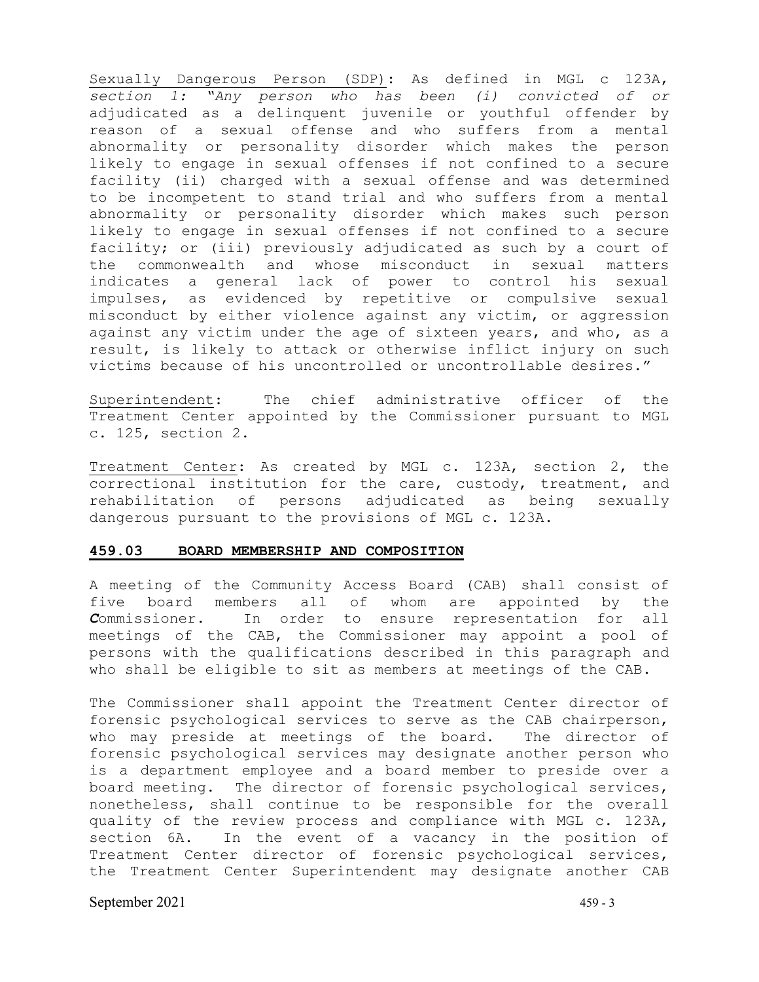Sexually Dangerous Person (SDP): As defined in MGL c 123A, *section 1: "Any person who has been (i) convicted of or* adjudicated as a delinquent juvenile or youthful offender by reason of a sexual offense and who suffers from a mental abnormality or personality disorder which makes the person likely to engage in sexual offenses if not confined to a secure facility (ii) charged with a sexual offense and was determined to be incompetent to stand trial and who suffers from a mental abnormality or personality disorder which makes such person likely to engage in sexual offenses if not confined to a secure facility; or (iii) previously adjudicated as such by a court of<br>the commonwealth and whose misconduct in sexual matters commonwealth and whose misconduct in sexual indicates a general lack of power to control his sexual impulses, as evidenced by repetitive or compulsive sexual misconduct by either violence against any victim, or aggression against any victim under the age of sixteen years, and who, as a result, is likely to attack or otherwise inflict injury on such victims because of his uncontrolled or uncontrollable desires."

Superintendent: The chief administrative officer of the Treatment Center appointed by the Commissioner pursuant to MGL c. 125, section 2.

Treatment Center: As created by MGL c. 123A, section 2, the correctional institution for the care, custody, treatment, and rehabilitation of persons adjudicated as being sexually dangerous pursuant to the provisions of MGL c. 123A.

### **459.03 BOARD MEMBERSHIP AND COMPOSITION**

A meeting of the Community Access Board (CAB) shall consist of<br>five board members all of whom are appointed by the appointed by the *C*ommissioner. In order to ensure representation for all meetings of the CAB, the Commissioner may appoint a pool of persons with the qualifications described in this paragraph and who shall be eligible to sit as members at meetings of the CAB.

The Commissioner shall appoint the Treatment Center director of forensic psychological services to serve as the CAB chairperson, who may preside at meetings of the board. The director of forensic psychological services may designate another person who is a department employee and a board member to preside over a board meeting. The director of forensic psychological services, nonetheless, shall continue to be responsible for the overall quality of the review process and compliance with MGL c. 123A, section 6A. In the event of a vacancy in the position of Treatment Center director of forensic psychological services, the Treatment Center Superintendent may designate another CAB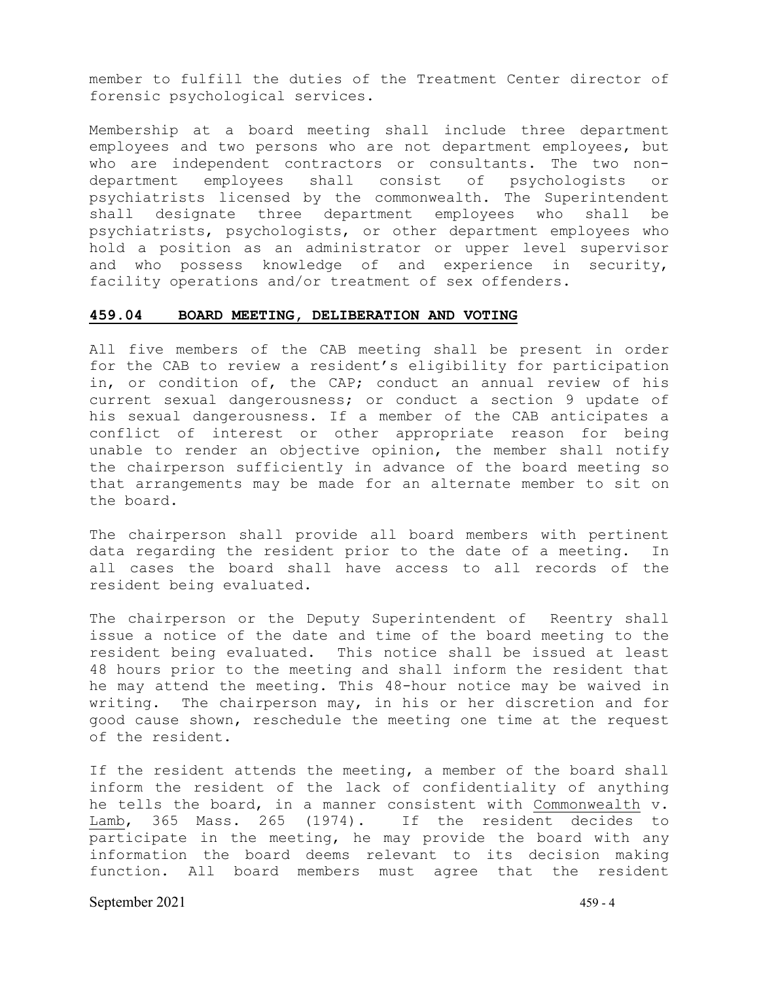member to fulfill the duties of the Treatment Center director of forensic psychological services.

Membership at a board meeting shall include three department employees and two persons who are not department employees, but who are independent contractors or consultants. The two non-<br>department employees shall consist of psychologists or department employees shall consist of psychologists or psychiatrists licensed by the commonwealth. The Superintendent<br>shall designate three department emplovees who shall be shall designate three department employees who shall be psychiatrists, psychologists, or other department employees who hold a position as an administrator or upper level supervisor and who possess knowledge of and experience in security, facility operations and/or treatment of sex offenders.

#### **459.04 BOARD MEETING, DELIBERATION AND VOTING**

All five members of the CAB meeting shall be present in order for the CAB to review a resident's eligibility for participation in, or condition of, the CAP; conduct an annual review of his current sexual dangerousness; or conduct a section 9 update of his sexual dangerousness. If a member of the CAB anticipates a conflict of interest or other appropriate reason for being unable to render an objective opinion, the member shall notify the chairperson sufficiently in advance of the board meeting so that arrangements may be made for an alternate member to sit on the board.

The chairperson shall provide all board members with pertinent data regarding the resident prior to the date of a meeting. In all cases the board shall have access to all records of the resident being evaluated.

The chairperson or the Deputy Superintendent of Reentry shall issue a notice of the date and time of the board meeting to the resident being evaluated. This notice shall be issued at least 48 hours prior to the meeting and shall inform the resident that he may attend the meeting. This 48-hour notice may be waived in writing. The chairperson may, in his or her discretion and for good cause shown, reschedule the meeting one time at the request of the resident.

If the resident attends the meeting, a member of the board shall inform the resident of the lack of confidentiality of anything he tells the board, in a manner consistent with Commonwealth v. Lamb, 365 Mass. 265 (1974). If the resident decides to participate in the meeting, he may provide the board with any information the board deems relevant to its decision making function. All board members must agree that the resident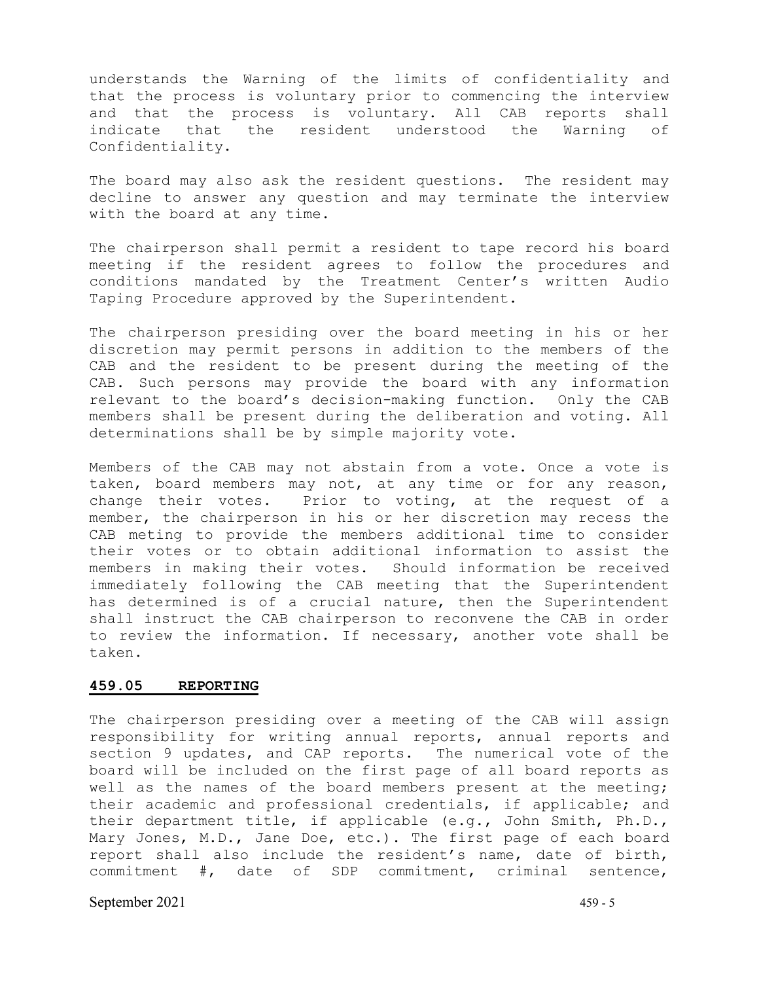understands the Warning of the limits of confidentiality and that the process is voluntary prior to commencing the interview and that the process is voluntary. All CAB reports shall indicate that the resident understood the Warning of Confidentiality.

The board may also ask the resident questions. The resident may decline to answer any question and may terminate the interview with the board at any time.

The chairperson shall permit a resident to tape record his board meeting if the resident agrees to follow the procedures and conditions mandated by the Treatment Center's written Audio Taping Procedure approved by the Superintendent.

The chairperson presiding over the board meeting in his or her discretion may permit persons in addition to the members of the CAB and the resident to be present during the meeting of the CAB. Such persons may provide the board with any information relevant to the board's decision-making function. Only the CAB members shall be present during the deliberation and voting. All determinations shall be by simple majority vote.

Members of the CAB may not abstain from a vote. Once a vote is taken, board members may not, at any time or for any reason, change their votes. Prior to voting, at the request of a member, the chairperson in his or her discretion may recess the CAB meting to provide the members additional time to consider their votes or to obtain additional information to assist the<br>members in making their votes. Should information be received Should information be received immediately following the CAB meeting that the Superintendent has determined is of a crucial nature, then the Superintendent shall instruct the CAB chairperson to reconvene the CAB in order to review the information. If necessary, another vote shall be taken.

### **459.05 REPORTING**

The chairperson presiding over a meeting of the CAB will assign responsibility for writing annual reports, annual reports and section 9 updates, and CAP reports. The numerical vote of the board will be included on the first page of all board reports as well as the names of the board members present at the meeting; their academic and professional credentials, if applicable; and their department title, if applicable (e.g., John Smith, Ph.D., Mary Jones, M.D., Jane Doe, etc.). The first page of each board report shall also include the resident's name, date of birth, commitment #, date of SDP commitment, criminal sentence,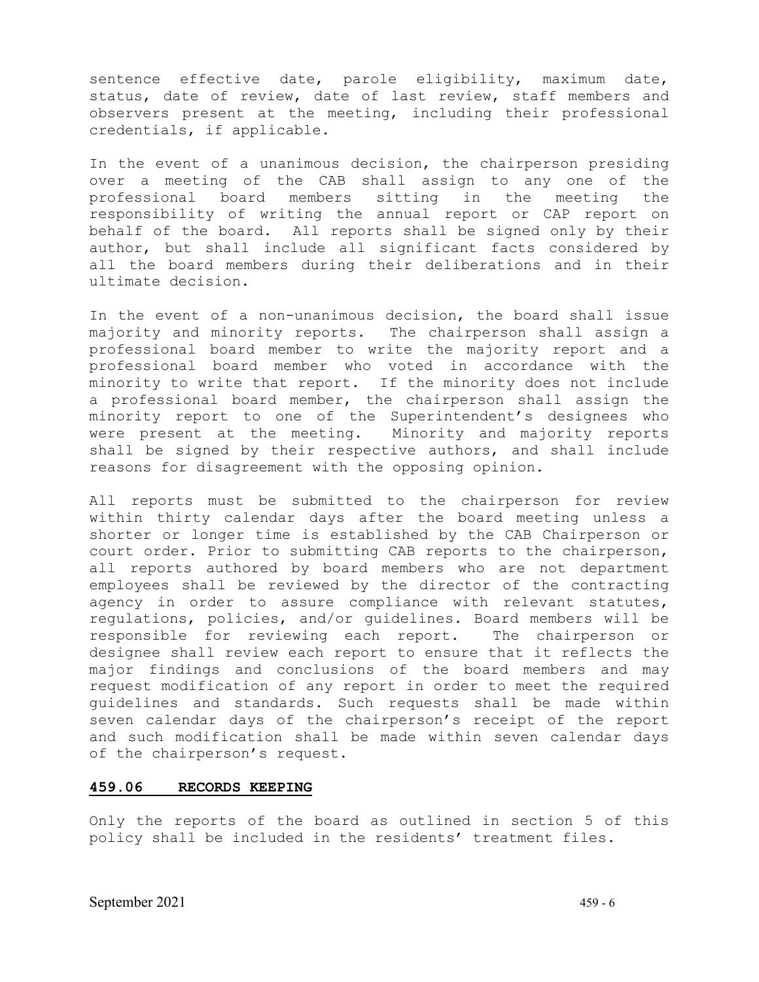sentence effective date, parole eligibility, maximum date, status, date of review, date of last review, staff members and observers present at the meeting, including their professional credentials, if applicable.

In the event of a unanimous decision, the chairperson presiding over a meeting of the CAB shall assign to any one of the<br>professional board members sitting in the meeting the professional board members sitting in the meeting responsibility of writing the annual report or CAP report on behalf of the board. All reports shall be signed only by their author, but shall include all significant facts considered by all the board members during their deliberations and in their ultimate decision.

In the event of a non-unanimous decision, the board shall issue majority and minority reports. The chairperson shall assign a professional board member to write the majority report and a professional board member who voted in accordance with the minority to write that report. If the minority does not include a professional board member, the chairperson shall assign the minority report to one of the Superintendent's designees who were present at the meeting. Minority and majority reports shall be signed by their respective authors, and shall include reasons for disagreement with the opposing opinion.

All reports must be submitted to the chairperson for review within thirty calendar days after the board meeting unless a shorter or longer time is established by the CAB Chairperson or court order. Prior to submitting CAB reports to the chairperson, all reports authored by board members who are not department employees shall be reviewed by the director of the contracting agency in order to assure compliance with relevant statutes, regulations, policies, and/or guidelines. Board members will be<br>responsible for reviewing each report. The chairperson or responsible for reviewing each report. designee shall review each report to ensure that it reflects the major findings and conclusions of the board members and may request modification of any report in order to meet the required guidelines and standards. Such requests shall be made within seven calendar days of the chairperson's receipt of the report and such modification shall be made within seven calendar days of the chairperson's request.

### **459.06 RECORDS KEEPING**

Only the reports of the board as outlined in section 5 of this policy shall be included in the residents' treatment files.